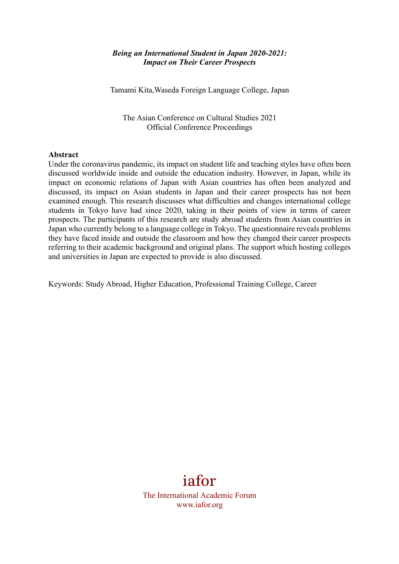#### *Being an International Student in Japan 2020-2021: Impact on Their Career Prospects*

Tamami Kita,Waseda Foreign Language College, Japan

The Asian Conference on Cultural Studies 2021 Official Conference Proceedings

#### **Abstract**

Under the coronavirus pandemic, its impact on student life and teaching styles have often been discussed worldwide inside and outside the education industry. However, in Japan, while its impact on economic relations of Japan with Asian countries has often been analyzed and discussed, its impact on Asian students in Japan and their career prospects has not been examined enough. This research discusses what difficulties and changes international college students in Tokyo have had since 2020, taking in their points of view in terms of career prospects. The participants of this research are study abroad students from Asian countries in Japan who currently belong to a language college in Tokyo. The questionnaire reveals problems they have faced inside and outside the classroom and how they changed their career prospects referring to their academic background and original plans. The support which hosting colleges and universities in Japan are expected to provide is also discussed.

Keywords: Study Abroad, Higher Education, Professional Training College, Career

# iafor

The International Academic Forum www.iafor.org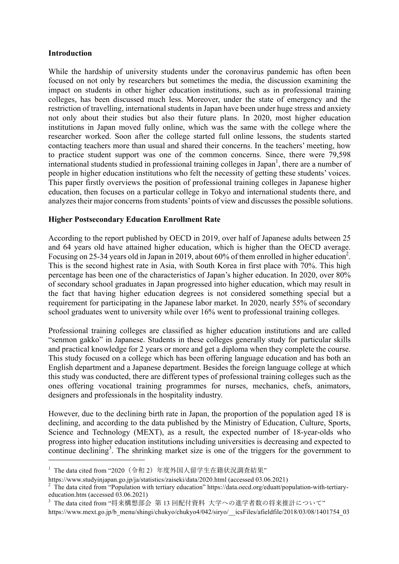## **Introduction**

ł

While the hardship of university students under the coronavirus pandemic has often been focused on not only by researchers but sometimes the media, the discussion examining the impact on students in other higher education institutions, such as in professional training colleges, has been discussed much less. Moreover, under the state of emergency and the restriction of travelling, international students in Japan have been under huge stress and anxiety not only about their studies but also their future plans. In 2020, most higher education institutions in Japan moved fully online, which was the same with the college where the researcher worked. Soon after the college started full online lessons, the students started contacting teachers more than usual and shared their concerns. In the teachers' meeting, how to practice student support was one of the common concerns. Since, there were 79,598 international students studied in professional training colleges in Japan<sup>1</sup>, there are a number of people in higher education institutions who felt the necessity of getting these students' voices. This paper firstly overviews the position of professional training colleges in Japanese higher education, then focuses on a particular college in Tokyo and international students there, and analyzes their major concerns from students' points of view and discusses the possible solutions.

## **Higher Postsecondary Education Enrollment Rate**

According to the report published by OECD in 2019, over half of Japanese adults between 25 and 64 years old have attained higher education, which is higher than the OECD average. Focusing on 25-34 years old in Japan in 2019, about 60% of them enrolled in higher education<sup>2</sup>. This is the second highest rate in Asia, with South Korea in first place with 70%. This high percentage has been one of the characteristics of Japan's higher education. In 2020, over 80% of secondary school graduates in Japan progressed into higher education, which may result in the fact that having higher education degrees is not considered something special but a requirement for participating in the Japanese labor market. In 2020, nearly 55% of secondary school graduates went to university while over 16% went to professional training colleges.

Professional training colleges are classified as higher education institutions and are called "senmon gakko" in Japanese. Students in these colleges generally study for particular skills and practical knowledge for 2 years or more and get a diploma when they complete the course. This study focused on a college which has been offering language education and has both an English department and a Japanese department. Besides the foreign language college at which this study was conducted, there are different types of professional training colleges such as the ones offering vocational training programmes for nurses, mechanics, chefs, animators, designers and professionals in the hospitality industry.

However, due to the declining birth rate in Japan, the proportion of the population aged 18 is declining, and according to the data published by the Ministry of Education, Culture, Sports, Science and Technology (MEXT), as a result, the expected number of 18-year-olds who progress into higher education institutions including universities is decreasing and expected to continue declining<sup>3</sup>. The shrinking market size is one of the triggers for the government to

 $^{-1}$  The data cited from "2020 (令和 2) 年度外国人留学生在籍状況調査結果"

https://www.studyinjapan.go.jp/ja/statistics/zaiseki/data/2020.html (accessed 03.06.2021)

 $2$  The data cited from "Population with tertiary education" https://data.oecd.org/eduatt/population-with-tertiaryeducation.htm (accessed 03.06.2021)

<sup>3</sup> The data cited from "将来構想部会 第 13 回配付資料 ⼤学への進学者数の将来推計について"

https://www.mext.go.jp/b\_menu/shingi/chukyo/chukyo4/042/siryo/\_\_icsFiles/afieldfile/2018/03/08/1401754\_03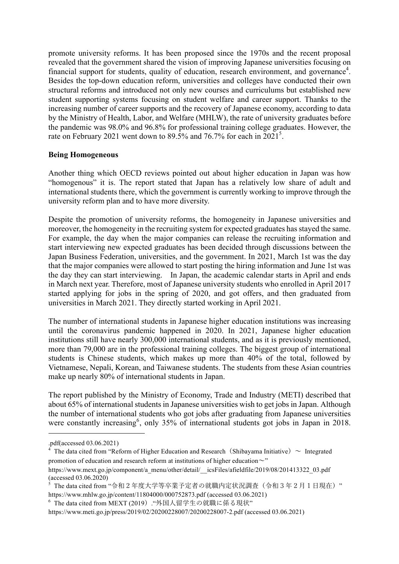promote university reforms. It has been proposed since the 1970s and the recent proposal revealed that the government shared the vision of improving Japanese universities focusing on financial support for students, quality of education, research environment, and governance<sup>4</sup>. Besides the top-down education reform, universities and colleges have conducted their own structural reforms and introduced not only new courses and curriculums but established new student supporting systems focusing on student welfare and career support. Thanks to the increasing number of career supports and the recovery of Japanese economy, according to data by the Ministry of Health, Labor, and Welfare (MHLW), the rate of university graduates before the pandemic was 98.0% and 96.8% for professional training college graduates. However, the rate on February 2021 went down to 89.5% and 76.7% for each in  $2021^5$ .

## **Being Homogeneous**

Another thing which OECD reviews pointed out about higher education in Japan was how "homogenous" it is. The report stated that Japan has a relatively low share of adult and international students there, which the government is currently working to improve through the university reform plan and to have more diversity.

Despite the promotion of university reforms, the homogeneity in Japanese universities and moreover, the homogeneity in the recruiting system for expected graduates has stayed the same. For example, the day when the major companies can release the recruiting information and start interviewing new expected graduates has been decided through discussions between the Japan Business Federation, universities, and the government. In 2021, March 1st was the day that the major companies were allowed to start posting the hiring information and June 1st was the day they can start interviewing. In Japan, the academic calendar starts in April and ends in March next year. Therefore, most of Japanese university students who enrolled in April 2017 started applying for jobs in the spring of 2020, and got offers, and then graduated from universities in March 2021. They directly started working in April 2021.

The number of international students in Japanese higher education institutions was increasing until the coronavirus pandemic happened in 2020. In 2021, Japanese higher education institutions still have nearly 300,000 international students, and as it is previously mentioned, more than 79,000 are in the professional training colleges. The biggest group of international students is Chinese students, which makes up more than 40% of the total, followed by Vietnamese, Nepali, Korean, and Taiwanese students. The students from these Asian countries make up nearly 80% of international students in Japan.

The report published by the Ministry of Economy, Trade and Industry (METI) described that about 65% of international students in Japanese universities wish to get jobs in Japan. Although the number of international students who got jobs after graduating from Japanese universities were constantly increasing<sup>6</sup>, only 35% of international students got jobs in Japan in 2018.

ł

<sup>.</sup>pdf(accessed 03.06.2021)

<sup>&</sup>lt;sup>4</sup> The data cited from "Reform of Higher Education and Research (Shibayama Initiative)  $\sim$  Integrated promotion of education and research reform at institutions of higher education $\sim$ "

https://www.mext.go.jp/component/a\_menu/other/detail/\_\_icsFiles/afieldfile/2019/08/201413322\_03.pdf (accessed 03.06.2020)

 $^5$  The data cited from "令和2年度大学等卒業予定者の就職内定状況調査(令和3年2月1日現在)" https://www.mhlw.go.jp/content/11804000/000752873.pdf (accessed 03.06.2021)

<sup>6</sup> The data cited from MEXT (2019)."外国⼈留学⽣の就職に係る現状"

https://www.meti.go.jp/press/2019/02/20200228007/20200228007-2.pdf (accessed 03.06.2021)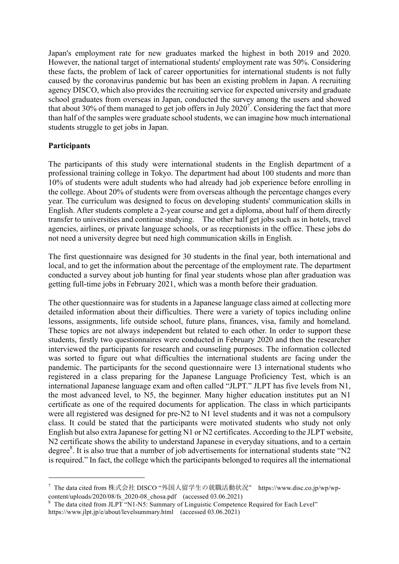Japan's employment rate for new graduates marked the highest in both 2019 and 2020. However, the national target of international students' employment rate was 50%. Considering these facts, the problem of lack of career opportunities for international students is not fully caused by the coronavirus pandemic but has been an existing problem in Japan. A recruiting agency DISCO, which also provides the recruiting service for expected university and graduate school graduates from overseas in Japan, conducted the survey among the users and showed that about 30% of them managed to get job offers in July 2020<sup>7</sup>. Considering the fact that more than half of the samples were graduate school students, we can imagine how much international students struggle to get jobs in Japan.

## **Participants**

ł

The participants of this study were international students in the English department of a professional training college in Tokyo. The department had about 100 students and more than 10% of students were adult students who had already had job experience before enrolling in the college. About 20% of students were from overseas although the percentage changes every year. The curriculum was designed to focus on developing students' communication skills in English. After students complete a 2-year course and get a diploma, about half of them directly transfer to universities and continue studying. The other half get jobs such as in hotels, travel agencies, airlines, or private language schools, or as receptionists in the office. These jobs do not need a university degree but need high communication skills in English.

The first questionnaire was designed for 30 students in the final year, both international and local, and to get the information about the percentage of the employment rate. The department conducted a survey about job hunting for final year students whose plan after graduation was getting full-time jobs in February 2021, which was a month before their graduation.

The other questionnaire was for students in a Japanese language class aimed at collecting more detailed information about their difficulties. There were a variety of topics including online lessons, assignments, life outside school, future plans, finances, visa, family and homeland. These topics are not always independent but related to each other. In order to support these students, firstly two questionnaires were conducted in February 2020 and then the researcher interviewed the participants for research and counseling purposes. The information collected was sorted to figure out what difficulties the international students are facing under the pandemic. The participants for the second questionnaire were 13 international students who registered in a class preparing for the Japanese Language Proficiency Test, which is an international Japanese language exam and often called "JLPT." JLPT has five levels from N1, the most advanced level, to N5, the beginner. Many higher education institutes put an N1 certificate as one of the required documents for application. The class in which participants were all registered was designed for pre-N2 to N1 level students and it was not a compulsory class. It could be stated that the participants were motivated students who study not only English but also extra Japanese for getting N1 or N2 certificates. According to the JLPT website, N2 certificate shows the ability to understand Japanese in everyday situations, and to a certain degree<sup>8</sup>. It is also true that a number of job advertisements for international students state "N2 is required." In fact, the college which the participants belonged to requires all the international

<sup>7</sup> The data cited from 株式会社 DISCO "外国⼈留学⽣の就職活動状況" https://www.disc.co.jp/wp/wpcontent/uploads/2020/08/fs\_2020-08\_chosa.pdf (accessed 03.06.2021)<br>
<sup>8</sup> The data cited from JLPT "N1-N5: Summary of Linguistic Competence Required for Each Level"

https://www.jlpt.jp/e/about/levelsummary.html (accessed 03.06.2021)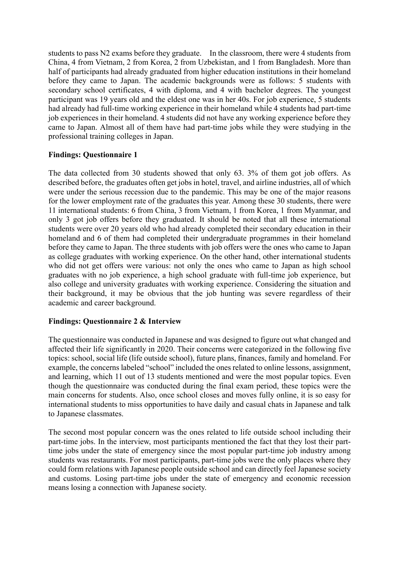students to pass N2 exams before they graduate. In the classroom, there were 4 students from China, 4 from Vietnam, 2 from Korea, 2 from Uzbekistan, and 1 from Bangladesh. More than half of participants had already graduated from higher education institutions in their homeland before they came to Japan. The academic backgrounds were as follows: 5 students with secondary school certificates, 4 with diploma, and 4 with bachelor degrees. The youngest participant was 19 years old and the eldest one was in her 40s. For job experience, 5 students had already had full-time working experience in their homeland while 4 students had part-time job experiences in their homeland. 4 students did not have any working experience before they came to Japan. Almost all of them have had part-time jobs while they were studying in the professional training colleges in Japan.

## **Findings: Questionnaire 1**

The data collected from 30 students showed that only 63. 3% of them got job offers. As described before, the graduates often get jobs in hotel, travel, and airline industries, all of which were under the serious recession due to the pandemic. This may be one of the major reasons for the lower employment rate of the graduates this year. Among these 30 students, there were 11 international students: 6 from China, 3 from Vietnam, 1 from Korea, 1 from Myanmar, and only 3 got job offers before they graduated. It should be noted that all these international students were over 20 years old who had already completed their secondary education in their homeland and 6 of them had completed their undergraduate programmes in their homeland before they came to Japan. The three students with job offers were the ones who came to Japan as college graduates with working experience. On the other hand, other international students who did not get offers were various: not only the ones who came to Japan as high school graduates with no job experience, a high school graduate with full-time job experience, but also college and university graduates with working experience. Considering the situation and their background, it may be obvious that the job hunting was severe regardless of their academic and career background.

## **Findings: Questionnaire 2 & Interview**

The questionnaire was conducted in Japanese and was designed to figure out what changed and affected their life significantly in 2020. Their concerns were categorized in the following five topics: school, social life (life outside school), future plans, finances, family and homeland. For example, the concerns labeled "school" included the ones related to online lessons, assignment, and learning, which 11 out of 13 students mentioned and were the most popular topics. Even though the questionnaire was conducted during the final exam period, these topics were the main concerns for students. Also, once school closes and moves fully online, it is so easy for international students to miss opportunities to have daily and casual chats in Japanese and talk to Japanese classmates.

The second most popular concern was the ones related to life outside school including their part-time jobs. In the interview, most participants mentioned the fact that they lost their parttime jobs under the state of emergency since the most popular part-time job industry among students was restaurants. For most participants, part-time jobs were the only places where they could form relations with Japanese people outside school and can directly feel Japanese society and customs. Losing part-time jobs under the state of emergency and economic recession means losing a connection with Japanese society.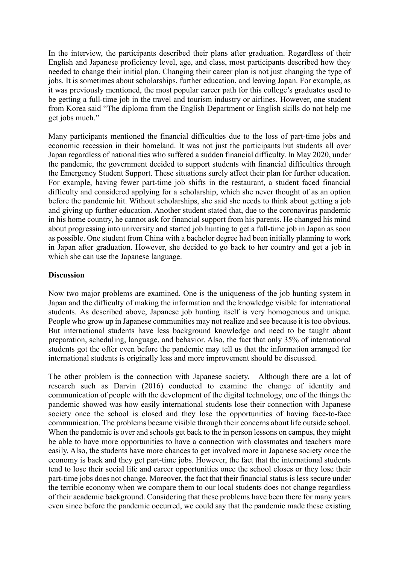In the interview, the participants described their plans after graduation. Regardless of their English and Japanese proficiency level, age, and class, most participants described how they needed to change their initial plan. Changing their career plan is not just changing the type of jobs. It is sometimes about scholarships, further education, and leaving Japan. For example, as it was previously mentioned, the most popular career path for this college's graduates used to be getting a full-time job in the travel and tourism industry or airlines. However, one student from Korea said "The diploma from the English Department or English skills do not help me get jobs much."

Many participants mentioned the financial difficulties due to the loss of part-time jobs and economic recession in their homeland. It was not just the participants but students all over Japan regardless of nationalities who suffered a sudden financial difficulty. In May 2020, under the pandemic, the government decided to support students with financial difficulties through the Emergency Student Support. These situations surely affect their plan for further education. For example, having fewer part-time job shifts in the restaurant, a student faced financial difficulty and considered applying for a scholarship, which she never thought of as an option before the pandemic hit. Without scholarships, she said she needs to think about getting a job and giving up further education. Another student stated that, due to the coronavirus pandemic in his home country, he cannot ask for financial support from his parents. He changed his mind about progressing into university and started job hunting to get a full-time job in Japan as soon as possible. One student from China with a bachelor degree had been initially planning to work in Japan after graduation. However, she decided to go back to her country and get a job in which she can use the Japanese language.

## **Discussion**

Now two major problems are examined. One is the uniqueness of the job hunting system in Japan and the difficulty of making the information and the knowledge visible for international students. As described above, Japanese job hunting itself is very homogenous and unique. People who grow up in Japanese communities may not realize and see because it is too obvious. But international students have less background knowledge and need to be taught about preparation, scheduling, language, and behavior. Also, the fact that only 35% of international students got the offer even before the pandemic may tell us that the information arranged for international students is originally less and more improvement should be discussed.

The other problem is the connection with Japanese society. Although there are a lot of research such as Darvin (2016) conducted to examine the change of identity and communication of people with the development of the digital technology, one of the things the pandemic showed was how easily international students lose their connection with Japanese society once the school is closed and they lose the opportunities of having face-to-face communication. The problems became visible through their concerns about life outside school. When the pandemic is over and schools get back to the in person lessons on campus, they might be able to have more opportunities to have a connection with classmates and teachers more easily. Also, the students have more chances to get involved more in Japanese society once the economy is back and they get part-time jobs. However, the fact that the international students tend to lose their social life and career opportunities once the school closes or they lose their part-time jobs does not change. Moreover, the fact that their financial status is less secure under the terrible economy when we compare them to our local students does not change regardless of their academic background. Considering that these problems have been there for many years even since before the pandemic occurred, we could say that the pandemic made these existing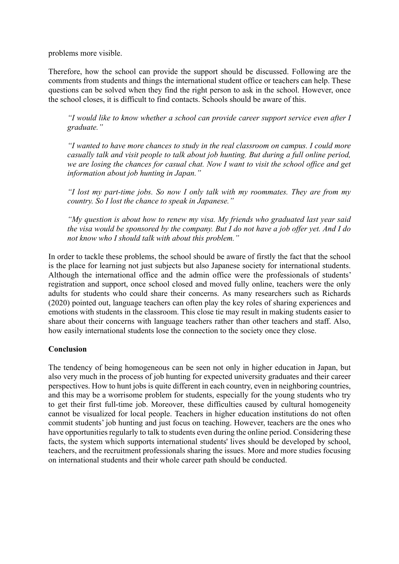problems more visible.

Therefore, how the school can provide the support should be discussed. Following are the comments from students and things the international student office or teachers can help. These questions can be solved when they find the right person to ask in the school. However, once the school closes, it is difficult to find contacts. Schools should be aware of this.

*"I would like to know whether a school can provide career support service even after I graduate."*

*"I wanted to have more chances to study in the real classroom on campus. I could more casually talk and visit people to talk about job hunting. But during a full online period, we are losing the chances for casual chat. Now I want to visit the school office and get information about job hunting in Japan."*

*"I lost my part-time jobs. So now I only talk with my roommates. They are from my country. So I lost the chance to speak in Japanese."*

*"My question is about how to renew my visa. My friends who graduated last year said the visa would be sponsored by the company. But I do not have a job offer yet. And I do not know who I should talk with about this problem."*

In order to tackle these problems, the school should be aware of firstly the fact that the school is the place for learning not just subjects but also Japanese society for international students. Although the international office and the admin office were the professionals of students' registration and support, once school closed and moved fully online, teachers were the only adults for students who could share their concerns. As many researchers such as Richards (2020) pointed out, language teachers can often play the key roles of sharing experiences and emotions with students in the classroom. This close tie may result in making students easier to share about their concerns with language teachers rather than other teachers and staff. Also, how easily international students lose the connection to the society once they close.

#### **Conclusion**

The tendency of being homogeneous can be seen not only in higher education in Japan, but also very much in the process of job hunting for expected university graduates and their career perspectives. How to hunt jobs is quite different in each country, even in neighboring countries, and this may be a worrisome problem for students, especially for the young students who try to get their first full-time job. Moreover, these difficulties caused by cultural homogeneity cannot be visualized for local people. Teachers in higher education institutions do not often commit students' job hunting and just focus on teaching. However, teachers are the ones who have opportunities regularly to talk to students even during the online period. Considering these facts, the system which supports international students' lives should be developed by school, teachers, and the recruitment professionals sharing the issues. More and more studies focusing on international students and their whole career path should be conducted.